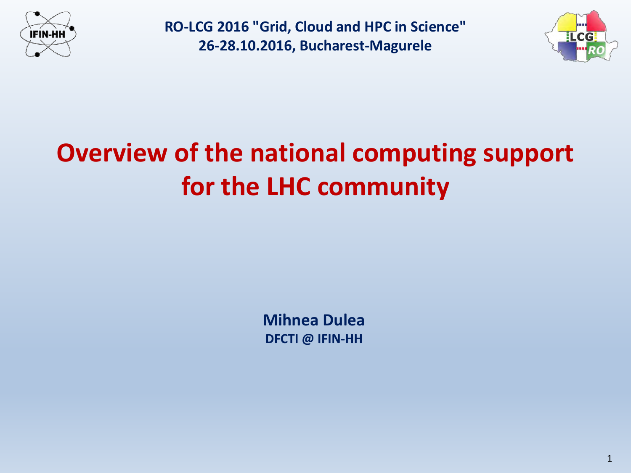



# **Overview of the national computing support for the LHC community**

**Mihnea Dulea DFCTI @ IFIN-HH**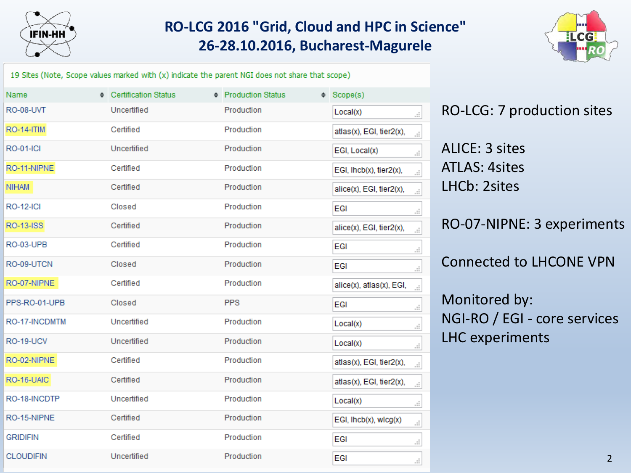



19 Sites (Note, Scope values marked with (x) indicate the parent NGI does not share that scope)

| Name              | Certification Status | ♦ Production Status | ♦ Scope(s)                                     |
|-------------------|----------------------|---------------------|------------------------------------------------|
| <b>RO-08-UVT</b>  | Uncertified          | Production          | Local(x)<br>al.                                |
| <b>RO-14-ITIM</b> | Certified            | Production          | atlas(x), EGI, tier2(x),<br>ä,                 |
| <b>RO-01-ICI</b>  | Uncertified          | Production          | EGI, Local(x)<br>al.                           |
| RO-11-NIPNE       | Certified            | Production          | EGI, Ihcb(x), tier2(x),<br>аf,                 |
| <b>NIHAM</b>      | Certified            | Production          | alice(x), EGI, tier2(x),<br>цÍ.                |
| <b>RO-12-ICI</b>  | Closed               | Production          | EGI<br>al.                                     |
| RO-13-ISS         | Certified            | Production          | alice(x), EGI, tier2(x),<br>ä,                 |
| RO-03-UPB         | Certified            | Production          | EGI<br>al.                                     |
| RO-09-UTCN        | Closed               | Production          | EGI<br>al.                                     |
| RO-07-NIPNE       | Certified            | Production          | alice(x), atlas(x), EGI,<br>ä,                 |
| PPS-RO-01-UPB     | Closed               | <b>PPS</b>          | EGI<br>al,                                     |
| RO-17-INCDMTM     | Uncertified          | Production          | Local(x)<br>al.                                |
| RO-19-UCV         | Uncertified          | Production          | Local(x)<br>al.                                |
| RO-02-NIPNE       | Certified            | Production          | atlas(x), EGI, tier2(x),<br>$\mathcal{A}$      |
| RO-16-UAIC        | Certified            | Production          | atlas(x), EGI, tier2(x),<br>ä,                 |
| RO-18-INCDTP      | Uncertified          | Production          | Local(x)<br>a)                                 |
| RO-15-NIPNE       | Certified            | Production          | $EGI$ , $Ihcb(x)$ , $wlcg(x)$<br>$\mathcal{A}$ |
| <b>GRIDIFIN</b>   | Certified            | Production          | EGI<br>al.                                     |
| <b>CLOUDIFIN</b>  | Uncertified          | Production          | EGI<br>a.                                      |

RO-LCG: 7 production sites

ALICE: 3 sites ATLAS: 4sites LHCb: 2sites

RO-07-NIPNE: 3 experiments

Connected to LHCONE VPN

Monitored by: NGI-RO / EGI - core services LHC experiments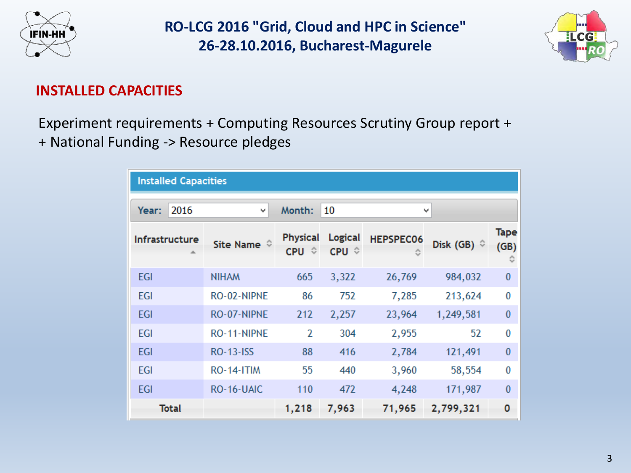



#### **INSTALLED CAPACITIES**

Experiment requirements + Computing Resources Scrutiny Group report + + National Funding -> Resource pledges

| <b>Installed Capacities</b> |                        |                          |                  |                  |                         |                     |  |  |  |
|-----------------------------|------------------------|--------------------------|------------------|------------------|-------------------------|---------------------|--|--|--|
| 2016<br>Year:               | Month:<br>10<br>v<br>٧ |                          |                  |                  |                         |                     |  |  |  |
| Infrastructure              | Site Name $\hat{v}$    | <b>Physical</b><br>CPU ↓ | Logical<br>CPU ↓ | <b>HEPSPEC06</b> | Disk (GB) $\hat{\circ}$ | <b>Tape</b><br>(GB) |  |  |  |
| <b>EGI</b>                  | <b>NIHAM</b>           | 665                      | 3,322            | 26,769           | 984,032                 | $\bf{0}$            |  |  |  |
| <b>EGI</b>                  | RO-02-NIPNE            | 86                       | 752              | 7,285            | 213,624                 | 0                   |  |  |  |
| <b>EGI</b>                  | RO-07-NIPNE            | 212                      | 2,257            | 23,964           | 1,249,581               | $\bf{0}$            |  |  |  |
| <b>EGI</b>                  | RO-11-NIPNE            | $\overline{2}$           | 304              | 2,955            | 52                      | 0                   |  |  |  |
| <b>EGI</b>                  | <b>RO-13-ISS</b>       | 88                       | 416              | 2,784            | 121,491                 | $\bf{0}$            |  |  |  |
| <b>EGI</b>                  | RO-14-ITIM             | 55                       | 440              | 3,960            | 58,554                  | 0                   |  |  |  |
| <b>EGI</b>                  | RO-16-UAIC             | 110                      | 472              | 4,248            | 171,987                 | $\bf{0}$            |  |  |  |
| <b>Total</b>                |                        | 1,218                    | 7,963            | 71,965           | 2,799,321               | 0                   |  |  |  |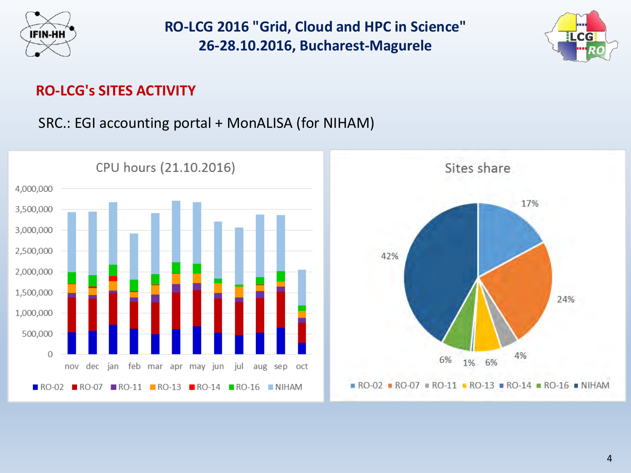



#### **RO-LCG's SITES ACTIVITY**

SRC.: EGI accounting portal + MonALISA (for NIHAM)

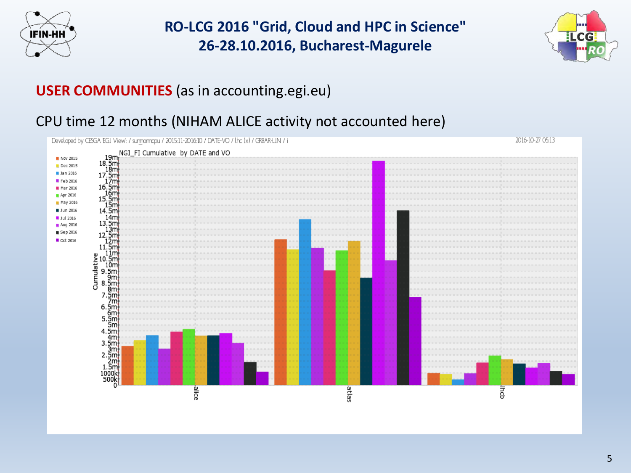



2016-10-27 05:13

### **USER COMMUNITIES** (as in accounting.egi.eu)

#### CPU time 12 months (NIHAM ALICE activity not accounted here)

Developed by CESGA EGI View! / summormapu / 2015:11-2016:10 / DATE-VO / lha (x) / GRBAR-LIN / i

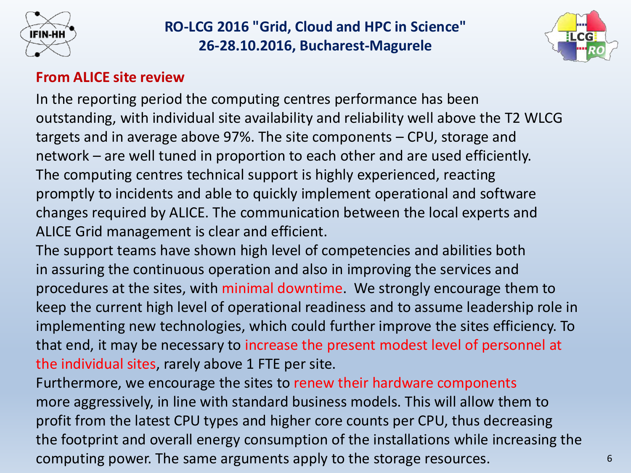



#### **From ALICE site review**

In the reporting period the computing centres performance has been outstanding, with individual site availability and reliability well above the T2 WLCG targets and in average above 97%. The site components – CPU, storage and network – are well tuned in proportion to each other and are used efficiently. The computing centres technical support is highly experienced, reacting promptly to incidents and able to quickly implement operational and software changes required by ALICE. The communication between the local experts and ALICE Grid management is clear and efficient.

The support teams have shown high level of competencies and abilities both in assuring the continuous operation and also in improving the services and procedures at the sites, with minimal downtime. We strongly encourage them to keep the current high level of operational readiness and to assume leadership role in implementing new technologies, which could further improve the sites efficiency. To that end, it may be necessary to increase the present modest level of personnel at the individual sites, rarely above 1 FTE per site.

Furthermore, we encourage the sites to renew their hardware components more aggressively, in line with standard business models. This will allow them to profit from the latest CPU types and higher core counts per CPU, thus decreasing the footprint and overall energy consumption of the installations while increasing the computing power. The same arguments apply to the storage resources.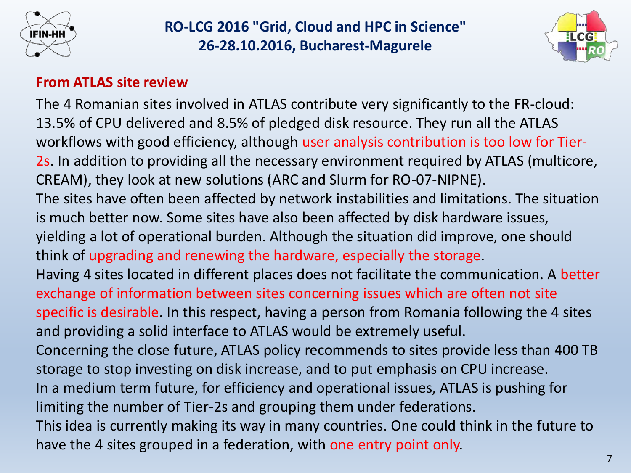



#### **From ATLAS site review**

The 4 Romanian sites involved in ATLAS contribute very significantly to the FR-cloud: 13.5% of CPU delivered and 8.5% of pledged disk resource. They run all the ATLAS workflows with good efficiency, although user analysis contribution is too low for Tier-2s. In addition to providing all the necessary environment required by ATLAS (multicore, CREAM), they look at new solutions (ARC and Slurm for RO-07-NIPNE). The sites have often been affected by network instabilities and limitations. The situation is much better now. Some sites have also been affected by disk hardware issues, yielding a lot of operational burden. Although the situation did improve, one should think of upgrading and renewing the hardware, especially the storage. Having 4 sites located in different places does not facilitate the communication. A better exchange of information between sites concerning issues which are often not site specific is desirable. In this respect, having a person from Romania following the 4 sites and providing a solid interface to ATLAS would be extremely useful. Concerning the close future, ATLAS policy recommends to sites provide less than 400 TB storage to stop investing on disk increase, and to put emphasis on CPU increase. In a medium term future, for efficiency and operational issues, ATLAS is pushing for limiting the number of Tier-2s and grouping them under federations. This idea is currently making its way in many countries. One could think in the future to have the 4 sites grouped in a federation, with one entry point only.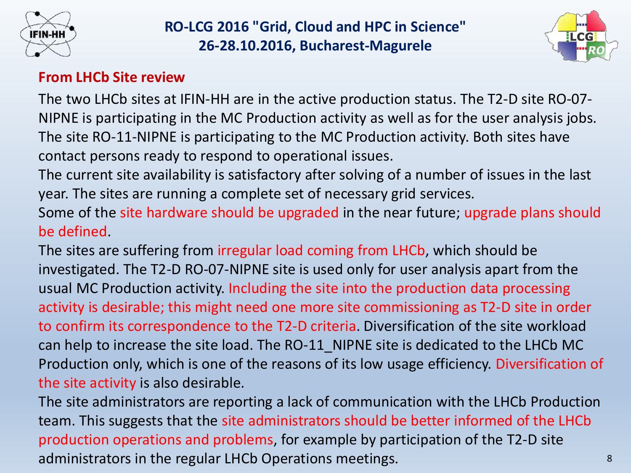



#### **From LHCb Site review**

The two LHCb sites at IFIN-HH are in the active production status. The T2-D site RO-07- NIPNE is participating in the MC Production activity as well as for the user analysis jobs. The site RO-11-NIPNE is participating to the MC Production activity. Both sites have contact persons ready to respond to operational issues.

The current site availability is satisfactory after solving of a number of issues in the last year. The sites are running a complete set of necessary grid services.

Some of the site hardware should be upgraded in the near future; upgrade plans should be defined.

The sites are suffering from irregular load coming from LHCb, which should be investigated. The T2-D RO-07-NIPNE site is used only for user analysis apart from the usual MC Production activity. Including the site into the production data processing activity is desirable; this might need one more site commissioning as T2-D site in order to confirm its correspondence to the T2-D criteria. Diversification of the site workload can help to increase the site load. The RO-11\_NIPNE site is dedicated to the LHCb MC Production only, which is one of the reasons of its low usage efficiency. Diversification of the site activity is also desirable.

8 The site administrators are reporting a lack of communication with the LHCb Production team. This suggests that the site administrators should be better informed of the LHCb production operations and problems, for example by participation of the T2-D site administrators in the regular LHCb Operations meetings.